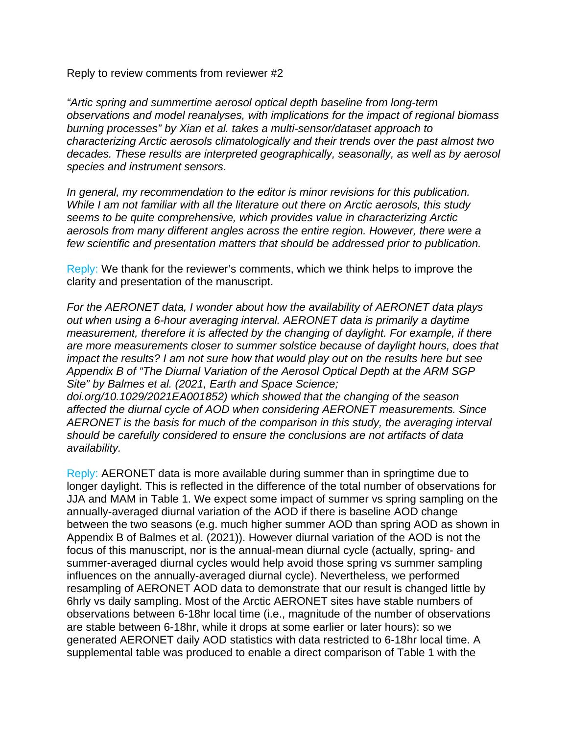Reply to review comments from reviewer #2

*"Artic spring and summertime aerosol optical depth baseline from long-term observations and model reanalyses, with implications for the impact of regional biomass burning processes" by Xian et al. takes a multi-sensor/dataset approach to characterizing Arctic aerosols climatologically and their trends over the past almost two decades. These results are interpreted geographically, seasonally, as well as by aerosol species and instrument sensors.*

*In general, my recommendation to the editor is minor revisions for this publication. While I am not familiar with all the literature out there on Arctic aerosols, this study seems to be quite comprehensive, which provides value in characterizing Arctic aerosols from many different angles across the entire region. However, there were a few scientific and presentation matters that should be addressed prior to publication.*

Reply: We thank for the reviewer's comments, which we think helps to improve the clarity and presentation of the manuscript.

*For the AERONET data, I wonder about how the availability of AERONET data plays out when using a 6-hour averaging interval. AERONET data is primarily a daytime measurement, therefore it is affected by the changing of daylight. For example, if there are more measurements closer to summer solstice because of daylight hours, does that impact the results? I am not sure how that would play out on the results here but see Appendix B of "The Diurnal Variation of the Aerosol Optical Depth at the ARM SGP Site" by Balmes et al. (2021, Earth and Space Science;*

*doi.org/10.1029/2021EA001852) which showed that the changing of the season affected the diurnal cycle of AOD when considering AERONET measurements. Since AERONET is the basis for much of the comparison in this study, the averaging interval should be carefully considered to ensure the conclusions are not artifacts of data availability.*

Reply: AERONET data is more available during summer than in springtime due to longer daylight. This is reflected in the difference of the total number of observations for JJA and MAM in Table 1. We expect some impact of summer vs spring sampling on the annually-averaged diurnal variation of the AOD if there is baseline AOD change between the two seasons (e.g. much higher summer AOD than spring AOD as shown in Appendix B of Balmes et al. (2021)). However diurnal variation of the AOD is not the focus of this manuscript, nor is the annual-mean diurnal cycle (actually, spring- and summer-averaged diurnal cycles would help avoid those spring vs summer sampling influences on the annually-averaged diurnal cycle). Nevertheless, we performed resampling of AERONET AOD data to demonstrate that our result is changed little by 6hrly vs daily sampling. Most of the Arctic AERONET sites have stable numbers of observations between 6-18hr local time (i.e., magnitude of the number of observations are stable between 6-18hr, while it drops at some earlier or later hours): so we generated AERONET daily AOD statistics with data restricted to 6-18hr local time. A supplemental table was produced to enable a direct comparison of Table 1 with the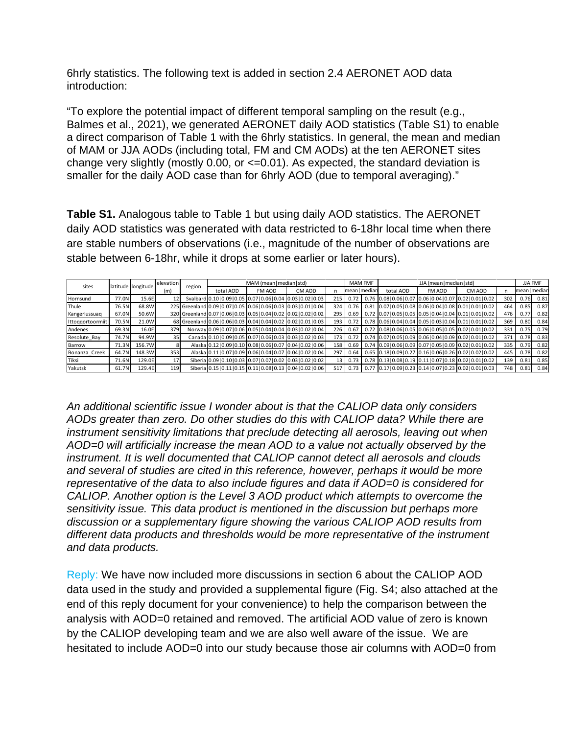6hrly statistics. The following text is added in section 2.4 AERONET AOD data introduction:

"To explore the potential impact of different temporal sampling on the result (e.g., Balmes et al., 2021), we generated AERONET daily AOD statistics (Table S1) to enable a direct comparison of Table 1 with the 6hrly statistics. In general, the mean and median of MAM or JJA AODs (including total, FM and CM AODs) at the ten AERONET sites change very slightly (mostly 0.00, or  $\leq$  0.01). As expected, the standard deviation is smaller for the daily AOD case than for 6hrly AOD (due to temporal averaging)."

**Table S1.** Analogous table to Table 1 but using daily AOD statistics. The AERONET daily AOD statistics was generated with data restricted to 6-18hr local time when there are stable numbers of observations (i.e., magnitude of the number of observations are stable between 6-18hr, while it drops at some earlier or later hours).

| sites            |       | latitude longitude | elevation | region | MAM (mean   median   std) |                                                                       |                                                                      |     | <b>MAM FMF</b> |  | JJA (mean   median   std) |        |                                                                       |     | JJA FMF       |      |
|------------------|-------|--------------------|-----------|--------|---------------------------|-----------------------------------------------------------------------|----------------------------------------------------------------------|-----|----------------|--|---------------------------|--------|-----------------------------------------------------------------------|-----|---------------|------|
|                  |       |                    | (m)       |        | total AOD                 | FM AOD                                                                | CM AOD                                                               |     | mean   median  |  | total AOD                 | FM AOD | CM AOD                                                                | n   | mean   median |      |
| Hornsund         | 77.ON | 15.6E              |           |        |                           | Svalbard 0.10   0.09   0.05   0.07   0.06   0.04   0.03   0.02   0.03 |                                                                      | 215 | 0.72           |  |                           |        | $0.76$ $0.08$ $0.06$ $0.07$ $0.06$ $0.04$ $0.07$ $0.02$ $0.01$ $0.02$ | 302 | 0.76          | 0.81 |
| Thule            | 76.5N | 68.8W              |           |        |                           | 225 Greenland 0.09 0.07 0.05 0.06 0.06 0.03 0.03 0.01 0.04            |                                                                      | 324 | 0.76           |  |                           |        | $0.81$ 0.07 0.05 0.08 0.06 0.04 0.08 0.01 0.01 0.02                   | 464 | 0.85          | 0.87 |
| Kangerlussuag    | 67.0N | 50.6W              |           |        |                           | 320 Greenland 0.07 0.06 0.03 0.05 0.04 0.02 0.02 0.02 0.02            |                                                                      | 295 | 0.69           |  |                           |        | $0.72$ 0.07 0.05 0.05 0.05 0.04 0.04 0.01 0.01 0.02                   | 476 | 0.77          | 0.82 |
| Ittoggortoormiit | 70.5N | 21.0W              |           |        |                           |                                                                       | 68 Greenland 0.06 0.06 0.03 0.04 0.04 0.02 0.02 0.01 0.03            | 193 | 0.72           |  |                           |        | $0.78$ 0.06 0.04 0.04 0.05 0.03 0.04 0.01 0.01 0.02                   | 369 | 0.80          | 0.84 |
| Andenes          | 69.3N | 16.0E              | 379       |        |                           |                                                                       | Norway 0.09 0.07 0.06 0.05 0.04 0.04 0.03 0.02 0.04                  | 226 | 0.67           |  |                           |        | $0.72$ 0.08 0.06 0.05 0.06 0.05 0.05 0.02 0.01 0.02                   | 331 | 0.75          | 0.79 |
| Resolute Bay     | 74.7N | 94.9W              | 35        |        |                           |                                                                       | Canada 0.10 0.09 0.05 0.07 0.06 0.03 0.03 0.02 0.03                  | 173 | 0.72           |  |                           |        | $0.74$ 0.07 0.05 0.09 0.06 0.04 0.09 0.02 0.01 0.02                   | 371 | 0.78          | 0.83 |
| Barrow           | 71.3N | 156.7W             |           |        |                           |                                                                       | Alaska 0.12   0.09   0.10   0.08   0.06   0.07   0.04   0.02   0.06  | 158 | 0.69           |  |                           |        | $0.74$ 0.09 0.06 0.09 0.07 0.05 0.09 0.02 0.01 0.02                   | 335 | 0.79          | 0.82 |
| Bonanza Creek    | 64.7N | 148.3W             | 353       |        |                           |                                                                       | Alaska 0.11   0.07   0.09   0.06   0.04   0.07   0.04   0.02   0.04  | 297 | 0.64           |  |                           |        | $0.65$ 0.18 0.09 0.27 0.16 0.06 0.26 0.02 0.02 0.02                   | 445 | 0.78          | 0.82 |
| Tiksi            | 71.6N | 129.0E             | 17        |        |                           |                                                                       | Siberia 0.09 0.10 0.03 0.07 0.07 0.02 0.03 0.02 0.02                 | 13  | 0.73           |  |                           |        | $0.78$ 0.13 0.08 0.19 0.11 0.07 0.18 0.02 0.01 0.02                   | 139 | 0.81          | 0.85 |
| Yakutsk          | 61.7N | 129.4E             | 119       |        |                           |                                                                       | Siberia 0.15   0.11   0.15   0.11   0.08   0.13   0.04   0.02   0.06 | 517 |                |  |                           |        | $0.73$   0.77 $ 0.17 0.09 0.23 0.14 0.07 0.23 0.02 0.01 0.03 $        | 748 | 0.81          | 0.84 |

*An additional scientific issue I wonder about is that the CALIOP data only considers AODs greater than zero. Do other studies do this with CALIOP data? While there are instrument sensitivity limitations that preclude detecting all aerosols, leaving out when AOD=0 will artificially increase the mean AOD to a value not actually observed by the instrument. It is well documented that CALIOP cannot detect all aerosols and clouds and several of studies are cited in this reference, however, perhaps it would be more representative of the data to also include figures and data if AOD=0 is considered for CALIOP. Another option is the Level 3 AOD product which attempts to overcome the sensitivity issue. This data product is mentioned in the discussion but perhaps more discussion or a supplementary figure showing the various CALIOP AOD results from different data products and thresholds would be more representative of the instrument and data products.*

Reply: We have now included more discussions in section 6 about the CALIOP AOD data used in the study and provided a supplemental figure (Fig. S4; also attached at the end of this reply document for your convenience) to help the comparison between the analysis with AOD=0 retained and removed. The artificial AOD value of zero is known by the CALIOP developing team and we are also well aware of the issue. We are hesitated to include AOD=0 into our study because those air columns with AOD=0 from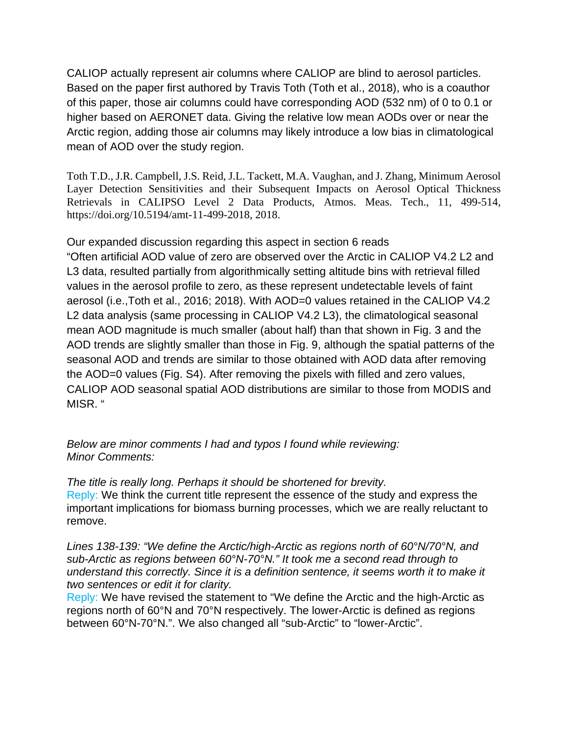CALIOP actually represent air columns where CALIOP are blind to aerosol particles. Based on the paper first authored by Travis Toth (Toth et al., 2018), who is a coauthor of this paper, those air columns could have corresponding AOD (532 nm) of 0 to 0.1 or higher based on AERONET data. Giving the relative low mean AODs over or near the Arctic region, adding those air columns may likely introduce a low bias in climatological mean of AOD over the study region.

Toth T.D., J.R. Campbell, J.S. Reid, J.L. Tackett, M.A. Vaughan, and J. Zhang, Minimum Aerosol Layer Detection Sensitivities and their Subsequent Impacts on Aerosol Optical Thickness Retrievals in CALIPSO Level 2 Data Products, Atmos. Meas. Tech., 11, 499-514, https://doi.org/10.5194/amt-11-499-2018, 2018.

Our expanded discussion regarding this aspect in section 6 reads

"Often artificial AOD value of zero are observed over the Arctic in CALIOP V4.2 L2 and L3 data, resulted partially from algorithmically setting altitude bins with retrieval filled values in the aerosol profile to zero, as these represent undetectable levels of faint aerosol (i.e.,Toth et al., 2016; 2018). With AOD=0 values retained in the CALIOP V4.2 L2 data analysis (same processing in CALIOP V4.2 L3), the climatological seasonal mean AOD magnitude is much smaller (about half) than that shown in Fig. 3 and the AOD trends are slightly smaller than those in Fig. 9, although the spatial patterns of the seasonal AOD and trends are similar to those obtained with AOD data after removing the AOD=0 values (Fig. S4). After removing the pixels with filled and zero values, CALIOP AOD seasonal spatial AOD distributions are similar to those from MODIS and MISR. "

*Below are minor comments I had and typos I found while reviewing: Minor Comments:*

*The title is really long. Perhaps it should be shortened for brevity.* Reply: We think the current title represent the essence of the study and express the important implications for biomass burning processes, which we are really reluctant to remove.

*Lines 138-139: "We define the Arctic/high-Arctic as regions north of 60°N/70°N, and sub-Arctic as regions between 60°N-70°N." It took me a second read through to understand this correctly. Since it is a definition sentence, it seems worth it to make it two sentences or edit it for clarity.*

Reply: We have revised the statement to "We define the Arctic and the high-Arctic as regions north of 60°N and 70°N respectively. The lower-Arctic is defined as regions between 60°N-70°N.". We also changed all "sub-Arctic" to "lower-Arctic".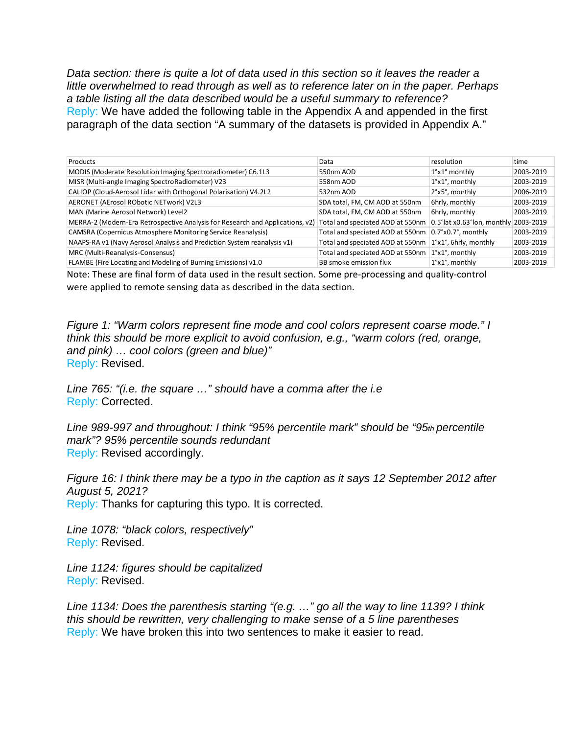*Data section: there is quite a lot of data used in this section so it leaves the reader a little overwhelmed to read through as well as to reference later on in the paper. Perhaps a table listing all the data described would be a useful summary to reference?* Reply: We have added the following table in the Appendix A and appended in the first paragraph of the data section "A summary of the datasets is provided in Appendix A."

| Products                                                                      | Data                             | resolution                             | time      |
|-------------------------------------------------------------------------------|----------------------------------|----------------------------------------|-----------|
| MODIS (Moderate Resolution Imaging Spectroradiometer) C6.1L3                  | 550nm AOD                        | $1^{\circ}$ x $1^{\circ}$ monthly      | 2003-2019 |
| MISR (Multi-angle Imaging SpectroRadiometer) V23                              | 558nm AOD                        | $1^{\circ}$ x $1^{\circ}$ , monthly    | 2003-2019 |
| CALIOP (Cloud-Aerosol Lidar with Orthogonal Polarisation) V4.2L2              | 532nm AOD                        | 2°x5°, monthly                         | 2006-2019 |
| AERONET (AErosol RObotic NETwork) V2L3                                        | SDA total, FM, CM AOD at 550nm   | 6hrly, monthly                         | 2003-2019 |
| MAN (Marine Aerosol Network) Level2                                           | SDA total, FM, CM AOD at 550nm   | 6hrly, monthly                         | 2003-2019 |
| MERRA-2 (Modern-Era Retrospective Analysis for Research and Applications, v2) | Total and speciated AOD at 550nm | 0.5° lat x0.63° lon, monthly 2003-2019 |           |
| <b>CAMSRA (Copernicus Atmosphere Monitoring Service Reanalysis)</b>           | Total and speciated AOD at 550nm | $0.7^\circ \times 0.7^\circ$ , monthly | 2003-2019 |
| NAAPS-RA v1 (Navy Aerosol Analysis and Prediction System reanalysis v1)       | Total and speciated AOD at 550nm | $1^{\circ}x1^{\circ}$ , 6hrly, monthly | 2003-2019 |
| MRC (Multi-Reanalysis-Consensus)                                              | Total and speciated AOD at 550nm | $1^{\circ}$ x $1^{\circ}$ . monthly    | 2003-2019 |
| FLAMBE (Fire Locating and Modeling of Burning Emissions) v1.0                 | BB smoke emission flux           | $1^{\circ}$ x $1^{\circ}$ , monthly    | 2003-2019 |

Note: These are final form of data used in the result section. Some pre-processing and quality-control were applied to remote sensing data as described in the data section.

*Figure 1: "Warm colors represent fine mode and cool colors represent coarse mode." I think this should be more explicit to avoid confusion, e.g., "warm colors (red, orange, and pink) … cool colors (green and blue)"* Reply: Revised.

*Line 765: "(i.e. the square …" should have a comma after the i.e* Reply: Corrected.

Line 989-997 and throughout: I think "95% percentile mark" should be "95th percentile *mark"? 95% percentile sounds redundant* Reply: Revised accordingly.

*Figure 16: I think there may be a typo in the caption as it says 12 September 2012 after August 5, 2021?* Reply: Thanks for capturing this typo. It is corrected.

*Line 1078: "black colors, respectively"* Reply: Revised.

*Line 1124: figures should be capitalized* Reply: Revised.

*Line 1134: Does the parenthesis starting "(e.g. …" go all the way to line 1139? I think this should be rewritten, very challenging to make sense of a 5 line parentheses* Reply: We have broken this into two sentences to make it easier to read.